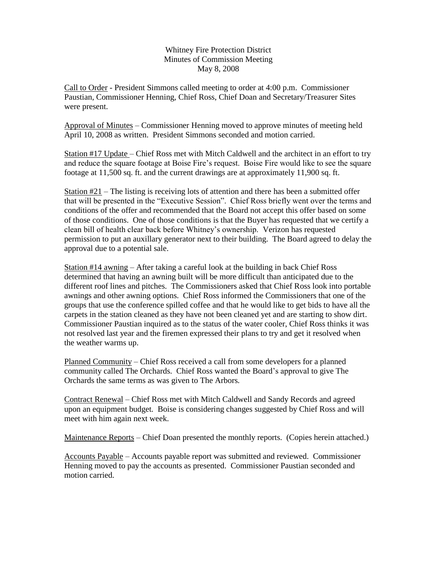Whitney Fire Protection District Minutes of Commission Meeting May 8, 2008

Call to Order - President Simmons called meeting to order at 4:00 p.m. Commissioner Paustian, Commissioner Henning, Chief Ross, Chief Doan and Secretary/Treasurer Sites were present.

Approval of Minutes – Commissioner Henning moved to approve minutes of meeting held April 10, 2008 as written. President Simmons seconded and motion carried.

Station #17 Update – Chief Ross met with Mitch Caldwell and the architect in an effort to try and reduce the square footage at Boise Fire's request. Boise Fire would like to see the square footage at 11,500 sq. ft. and the current drawings are at approximately 11,900 sq. ft.

Station #21 – The listing is receiving lots of attention and there has been a submitted offer that will be presented in the "Executive Session". Chief Ross briefly went over the terms and conditions of the offer and recommended that the Board not accept this offer based on some of those conditions. One of those conditions is that the Buyer has requested that we certify a clean bill of health clear back before Whitney's ownership. Verizon has requested permission to put an auxillary generator next to their building. The Board agreed to delay the approval due to a potential sale.

Station #14 awning – After taking a careful look at the building in back Chief Ross determined that having an awning built will be more difficult than anticipated due to the different roof lines and pitches. The Commissioners asked that Chief Ross look into portable awnings and other awning options. Chief Ross informed the Commissioners that one of the groups that use the conference spilled coffee and that he would like to get bids to have all the carpets in the station cleaned as they have not been cleaned yet and are starting to show dirt. Commissioner Paustian inquired as to the status of the water cooler, Chief Ross thinks it was not resolved last year and the firemen expressed their plans to try and get it resolved when the weather warms up.

Planned Community – Chief Ross received a call from some developers for a planned community called The Orchards. Chief Ross wanted the Board's approval to give The Orchards the same terms as was given to The Arbors.

Contract Renewal – Chief Ross met with Mitch Caldwell and Sandy Records and agreed upon an equipment budget. Boise is considering changes suggested by Chief Ross and will meet with him again next week.

Maintenance Reports – Chief Doan presented the monthly reports. (Copies herein attached.)

Accounts Payable – Accounts payable report was submitted and reviewed. Commissioner Henning moved to pay the accounts as presented. Commissioner Paustian seconded and motion carried.